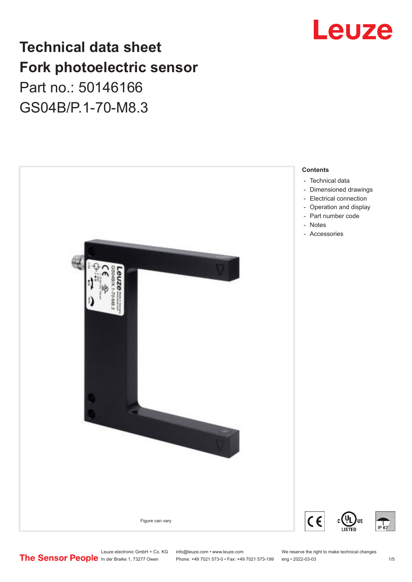# Leuze

## **Technical data sheet Fork photoelectric sensor** Part no.: 50146166 GS04B/P.1-70-M8.3



Leuze electronic GmbH + Co. KG info@leuze.com • www.leuze.com We reserve the right to make technical changes<br>
The Sensor People in der Braike 1, 73277 Owen Phone: +49 7021 573-0 • Fax: +49 7021 573-199 eng • 2022-03-03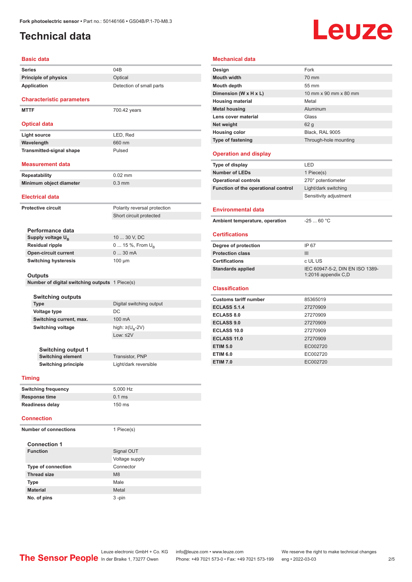## <span id="page-1-0"></span>**Technical data**

# Leuze

| 04B                                            |
|------------------------------------------------|
| Optical                                        |
| Detection of small parts                       |
|                                                |
|                                                |
| 700.42 years                                   |
|                                                |
|                                                |
| LED, Red                                       |
| 660 nm                                         |
| Pulsed                                         |
|                                                |
| $0.02$ mm                                      |
| $0.3$ mm                                       |
|                                                |
|                                                |
|                                                |
| Polarity reversal protection                   |
| Short circuit protected                        |
|                                                |
|                                                |
| 10  30 V, DC                                   |
| 0  15 %, From $U_{\rm B}$                      |
| 030mA                                          |
| $100 \mu m$                                    |
|                                                |
|                                                |
| Number of digital switching outputs 1 Piece(s) |
|                                                |
| Digital switching output                       |
| DC                                             |
| 100 mA                                         |
| high: $\geq (U_{B} - 2V)$                      |
| Low: $\leq$ 2V                                 |
|                                                |

| <b>Housing color</b>                | Black. RAL 9005                                       |
|-------------------------------------|-------------------------------------------------------|
| <b>Type of fastening</b>            | Through-hole mounting                                 |
| <b>Operation and display</b>        |                                                       |
| Type of display                     | LED                                                   |
| Number of LEDs                      | 1 Piece(s)                                            |
| <b>Operational controls</b>         | 270° potentiometer                                    |
| Function of the operational control | Light/dark switching                                  |
|                                     | Sensitivity adjustment                                |
| <b>Environmental data</b>           |                                                       |
| Ambient temperature, operation      | $-2560 °C$                                            |
| <b>Certifications</b>               |                                                       |
| Degree of protection                | IP 67                                                 |
| <b>Protection class</b>             | III                                                   |
| <b>Certifications</b>               | c UL US                                               |
| <b>Standards applied</b>            | IEC 60947-5-2, DIN EN ISO 1389<br>1:2016 appendix C,D |
| <b>Classification</b>               |                                                       |
| <b>Customs tariff number</b>        | 85365019                                              |
| <b>ECLASS 5.1.4</b>                 | 27270909                                              |
| <b>ECLASS 8.0</b>                   | 27270909                                              |
| <b>ECLASS 9.0</b>                   | 27270909                                              |
|                                     |                                                       |

**ETIM 7.0** EC002720

| <b>Switching output 1</b>  |                       |
|----------------------------|-----------------------|
| <b>Switching element</b>   | Transistor, PNP       |
| <b>Switching principle</b> | Light/dark reversible |

### **Timing**

| <b>Switching frequency</b> | 5.000 Hz         |
|----------------------------|------------------|
| <b>Response time</b>       | $0.1$ ms         |
| <b>Readiness delay</b>     | $150 \text{ ms}$ |

#### **Connection**

| <b>Number of connections</b> | 1 Piece(s)     |
|------------------------------|----------------|
| <b>Connection 1</b>          |                |
| <b>Function</b>              | Signal OUT     |
|                              | Voltage supply |
| <b>Type of connection</b>    | Connector      |
| <b>Thread size</b>           | M8             |
| <b>Type</b>                  | Male           |
| <b>Material</b>              | Metal          |
| No. of pins                  | $3 - pin$      |

#### **Mechanical data**

**Design Fork Mouth width 1999 1999 1999 1999 1999 1999 1999 1999 1999 1999 1999 1999 1999 Mouth depth** 55 mm

**Housing material Metal Metal Metal housing Aluminum Lens cover material** Glass **Net weight** 62 g

**Dimension (W x H x L)** 10 mm x 90 mm x 80 mm

| <b>Operation and display</b>        |                                                        |
|-------------------------------------|--------------------------------------------------------|
| Type of display                     | I FD                                                   |
| <b>Number of LEDs</b>               | 1 Piece(s)                                             |
| <b>Operational controls</b>         | 270° potentiometer                                     |
| Function of the operational control | Light/dark switching                                   |
|                                     | Sensitivity adjustment                                 |
| <b>Environmental data</b>           |                                                        |
| Ambient temperature, operation      | $-2560 °C$                                             |
|                                     |                                                        |
| <b>Certifications</b>               |                                                        |
| Degree of protection                | IP 67                                                  |
| <b>Protection class</b>             | III                                                    |
| <b>Certifications</b>               | c UL US                                                |
| <b>Standards applied</b>            | IEC 60947-5-2, DIN EN ISO 1389-<br>1:2016 appendix C,D |
| <b>Classification</b>               |                                                        |
| <b>Customs tariff number</b>        | 85365019                                               |
| <b>ECLASS 5.1.4</b>                 | 27270909                                               |
| <b>ECLASS 8.0</b>                   | 27270909                                               |
| <b>ECLASS 9.0</b>                   | 27270909                                               |
| <b>ECLASS 10.0</b>                  | 27270909                                               |
| <b>ECLASS 11.0</b>                  | 27270909                                               |
| <b>ETIM 5.0</b>                     | EC002720                                               |
| <b>ETIM 6.0</b>                     | EC002720                                               |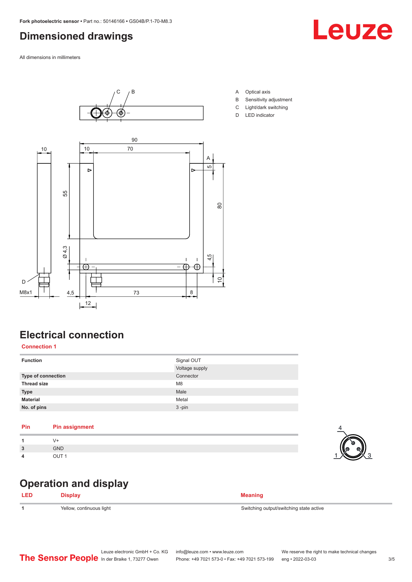## <span id="page-2-0"></span>**Dimensioned drawings**

All dimensions in millimeters



## **Electrical connection**

### **Connection 1**

| <b>Function</b>    | Signal OUT<br>Voltage supply |
|--------------------|------------------------------|
| Type of connection | Connector                    |
| <b>Thread size</b> | M <sub>8</sub>               |
| <b>Type</b>        | Male                         |
| <b>Material</b>    | Metal                        |
| No. of pins        | $3 - pin$                    |

#### **Pin Pin assignment**

| -1                      |            |
|-------------------------|------------|
| $\overline{\mathbf{3}}$ | <b>GND</b> |
| -4                      | <b>OUT</b> |

## **Operation and display**

| <b>LED</b> | <b>Display</b>           | <b>Meaning</b>                          |
|------------|--------------------------|-----------------------------------------|
|            | Yellow, continuous light | Switching output/switching state active |





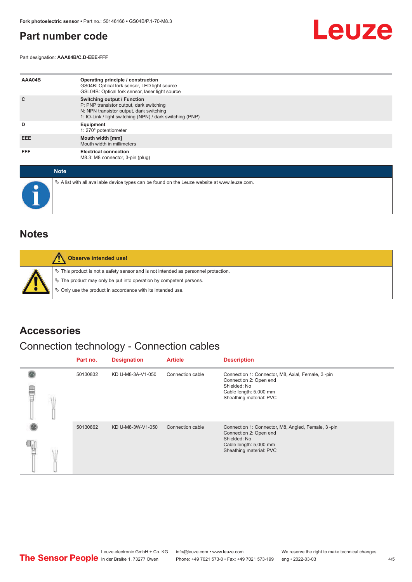## <span id="page-3-0"></span>**Part number code**

Part designation: **AAA04B/C.D-EEE-FFF**



| AAA04B     | Operating principle / construction<br>GS04B: Optical fork sensor, LED light source<br>GSL04B: Optical fork sensor, laser light source                                                   |
|------------|-----------------------------------------------------------------------------------------------------------------------------------------------------------------------------------------|
| C          | <b>Switching output / Function</b><br>P: PNP transistor output, dark switching<br>N: NPN transistor output, dark switching<br>1: IO-Link / light switching (NPN) / dark switching (PNP) |
| D          | Equipment<br>1: 270° potentiometer                                                                                                                                                      |
| EEE.       | Mouth width [mm]<br>Mouth width in millimeters                                                                                                                                          |
| <b>FFF</b> | <b>Electrical connection</b><br>M8.3: M8 connector, 3-pin (plug)                                                                                                                        |

| <b>Note</b>                                                                                     |
|-------------------------------------------------------------------------------------------------|
| $\&$ A list with all available device types can be found on the Leuze website at www.leuze.com. |

## **Notes**

| Observe intended use!                                                                                                                                                                                                         |  |
|-------------------------------------------------------------------------------------------------------------------------------------------------------------------------------------------------------------------------------|--|
| $\%$ This product is not a safety sensor and is not intended as personnel protection.<br>$\%$ The product may only be put into operation by competent persons.<br>§ Only use the product in accordance with its intended use. |  |

## **Accessories**

## Connection technology - Connection cables

|   |  | Part no. | <b>Designation</b> | <b>Article</b>   | <b>Description</b>                                                                                                                                |
|---|--|----------|--------------------|------------------|---------------------------------------------------------------------------------------------------------------------------------------------------|
| ▤ |  | 50130832 | KD U-M8-3A-V1-050  | Connection cable | Connection 1: Connector, M8, Axial, Female, 3-pin<br>Connection 2: Open end<br>Shielded: No<br>Cable length: 5,000 mm<br>Sheathing material: PVC  |
|   |  | 50130862 | KD U-M8-3W-V1-050  | Connection cable | Connection 1: Connector, M8, Angled, Female, 3-pin<br>Connection 2: Open end<br>Shielded: No<br>Cable length: 5,000 mm<br>Sheathing material: PVC |